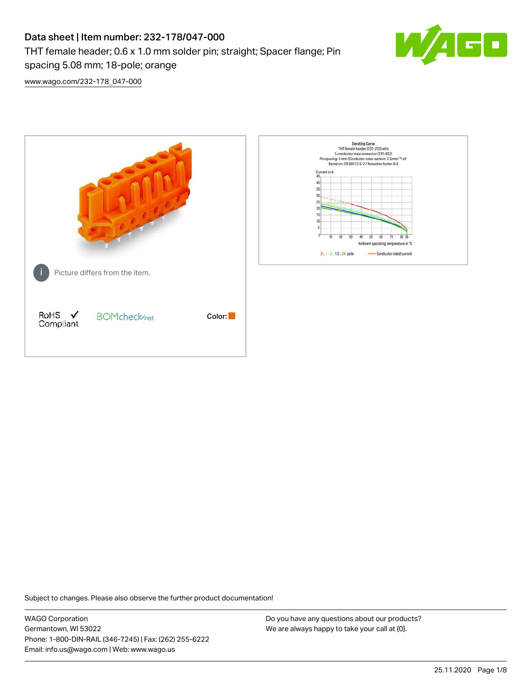# Data sheet | Item number: 232-178/047-000 THT female header; 0.6 x 1.0 mm solder pin; straight; Spacer flange; Pin spacing 5.08 mm; 18-pole; orange



[www.wago.com/232-178\\_047-000](http://www.wago.com/232-178_047-000)



Subject to changes. Please also observe the further product documentation!

WAGO Corporation Germantown, WI 53022 Phone: 1-800-DIN-RAIL (346-7245) | Fax: (262) 255-6222 Email: info.us@wago.com | Web: www.wago.us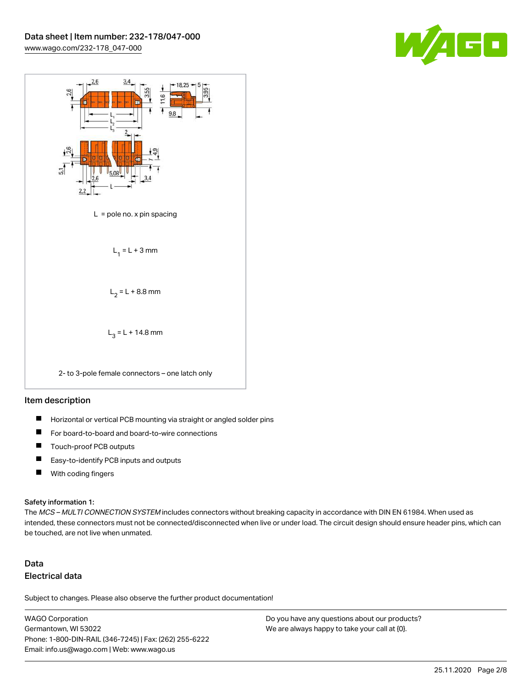



#### Item description

- $\blacksquare$ Horizontal or vertical PCB mounting via straight or angled solder pins
- П For board-to-board and board-to-wire connections
- $\blacksquare$ Touch-proof PCB outputs
- $\blacksquare$ Easy-to-identify PCB inputs and outputs
- $\blacksquare$ With coding fingers

#### Safety information 1:

The MCS - MULTI CONNECTION SYSTEM includes connectors without breaking capacity in accordance with DIN EN 61984. When used as intended, these connectors must not be connected/disconnected when live or under load. The circuit design should ensure header pins, which can be touched, are not live when unmated.

## Data Electrical data

Subject to changes. Please also observe the further product documentation!

WAGO Corporation Germantown, WI 53022 Phone: 1-800-DIN-RAIL (346-7245) | Fax: (262) 255-6222 Email: info.us@wago.com | Web: www.wago.us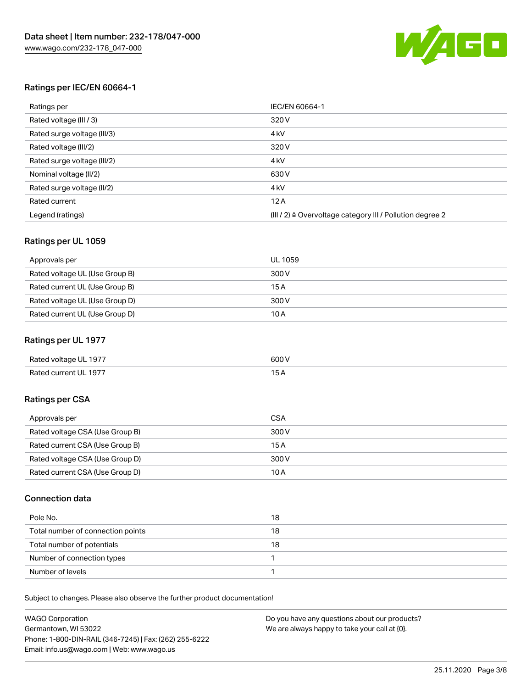

#### Ratings per IEC/EN 60664-1

| Ratings per                 | IEC/EN 60664-1                                                        |
|-----------------------------|-----------------------------------------------------------------------|
| Rated voltage (III / 3)     | 320 V                                                                 |
| Rated surge voltage (III/3) | 4 <sub>k</sub> V                                                      |
| Rated voltage (III/2)       | 320 V                                                                 |
| Rated surge voltage (III/2) | 4 <sub>k</sub> V                                                      |
| Nominal voltage (II/2)      | 630 V                                                                 |
| Rated surge voltage (II/2)  | 4 <sub>k</sub> V                                                      |
| Rated current               | 12A                                                                   |
| Legend (ratings)            | $(III / 2)$ $\triangle$ Overvoltage category III / Pollution degree 2 |

#### Ratings per UL 1059

| Approvals per                  | UL 1059 |
|--------------------------------|---------|
| Rated voltage UL (Use Group B) | 300 V   |
| Rated current UL (Use Group B) | 15 A    |
| Rated voltage UL (Use Group D) | 300 V   |
| Rated current UL (Use Group D) | 10A     |

#### Ratings per UL 1977

| Rated voltage UL 1977 | 600 <sup>V</sup><br>. |
|-----------------------|-----------------------|
| Rated current UL 1977 |                       |

### Ratings per CSA

| Approvals per                   | CSA   |
|---------------------------------|-------|
| Rated voltage CSA (Use Group B) | 300 V |
| Rated current CSA (Use Group B) | 15A   |
| Rated voltage CSA (Use Group D) | 300 V |
| Rated current CSA (Use Group D) | 10 A  |

#### Connection data

| Pole No.                          | 18 |
|-----------------------------------|----|
| Total number of connection points | 18 |
| Total number of potentials        | 18 |
| Number of connection types        |    |
| Number of levels                  |    |

Subject to changes. Please also observe the further product documentation!

| <b>WAGO Corporation</b>                                | Do you have any questions about our products? |
|--------------------------------------------------------|-----------------------------------------------|
| Germantown, WI 53022                                   | We are always happy to take your call at {0}. |
| Phone: 1-800-DIN-RAIL (346-7245)   Fax: (262) 255-6222 |                                               |
| Email: info.us@wago.com   Web: www.wago.us             |                                               |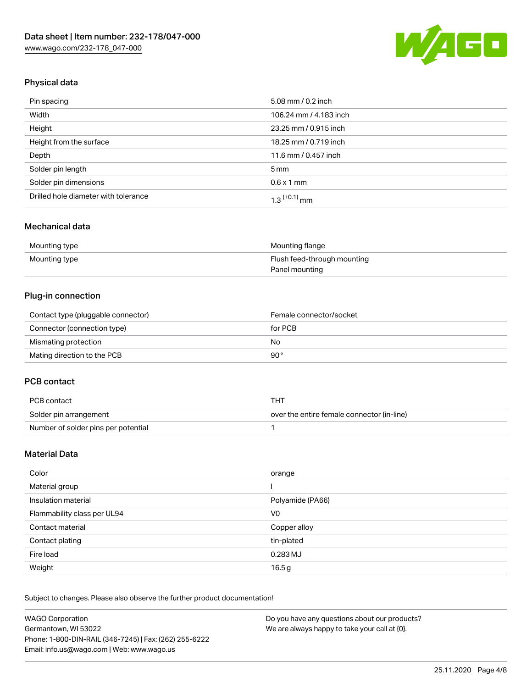

## Physical data

| Pin spacing                          | 5.08 mm / 0.2 inch     |
|--------------------------------------|------------------------|
| Width                                | 106.24 mm / 4.183 inch |
| Height                               | 23.25 mm / 0.915 inch  |
| Height from the surface              | 18.25 mm / 0.719 inch  |
| Depth                                | 11.6 mm / 0.457 inch   |
| Solder pin length                    | $5 \,\mathrm{mm}$      |
| Solder pin dimensions                | $0.6 \times 1$ mm      |
| Drilled hole diameter with tolerance | $1.3$ $(+0.1)$ mm      |

### Mechanical data

| Mounting type | Mounting flange             |
|---------------|-----------------------------|
| Mounting type | Flush feed-through mounting |
|               | Panel mounting              |

## Plug-in connection

| Contact type (pluggable connector) | Female connector/socket |
|------------------------------------|-------------------------|
| Connector (connection type)        | for PCB                 |
| Mismating protection               | No                      |
| Mating direction to the PCB        | 90°                     |

#### PCB contact

| PCB contact                         | THT                                        |
|-------------------------------------|--------------------------------------------|
| Solder pin arrangement              | over the entire female connector (in-line) |
| Number of solder pins per potential |                                            |

## Material Data

| Color                       | orange           |
|-----------------------------|------------------|
| Material group              |                  |
| Insulation material         | Polyamide (PA66) |
| Flammability class per UL94 | V0               |
| Contact material            | Copper alloy     |
| Contact plating             | tin-plated       |
| Fire load                   | 0.283 MJ         |
| Weight                      | 16.5g            |

Subject to changes. Please also observe the further product documentation!

| <b>WAGO Corporation</b>                                | Do you have any questions about our products? |
|--------------------------------------------------------|-----------------------------------------------|
| Germantown, WI 53022                                   | We are always happy to take your call at {0}. |
| Phone: 1-800-DIN-RAIL (346-7245)   Fax: (262) 255-6222 |                                               |
| Email: info.us@wago.com   Web: www.wago.us             |                                               |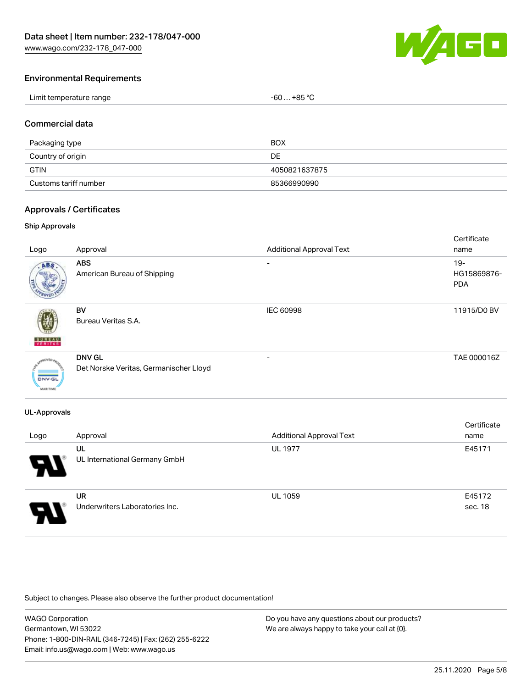[www.wago.com/232-178\\_047-000](http://www.wago.com/232-178_047-000)



#### Environmental Requirements

| Limit temperature range | $-60+85 °C$ |
|-------------------------|-------------|
|-------------------------|-------------|

#### Commercial data

| Packaging type        | <b>BOX</b>    |
|-----------------------|---------------|
| Country of origin     | DE            |
| <b>GTIN</b>           | 4050821637875 |
| Customs tariff number | 85366990990   |

#### Approvals / Certificates

#### Ship Approvals

| Logo                             | Approval                                                | <b>Additional Approval Text</b> | Certificate<br>name                 |
|----------------------------------|---------------------------------------------------------|---------------------------------|-------------------------------------|
| ABS                              | <b>ABS</b><br>American Bureau of Shipping               | ۰                               | $19 -$<br>HG15869876-<br><b>PDA</b> |
| <b>BUNEAU</b>                    | <b>BV</b><br>Bureau Veritas S.A.                        | IEC 60998                       | 11915/D0 BV                         |
| <b>DNV-GL</b><br><b>MARITIME</b> | <b>DNV GL</b><br>Det Norske Veritas, Germanischer Lloyd | $\overline{\phantom{0}}$        | TAE 000016Z                         |

#### UL-Approvals

| Logo                       | Approval                                    | <b>Additional Approval Text</b> | Certificate<br>name |
|----------------------------|---------------------------------------------|---------------------------------|---------------------|
| $\boldsymbol{\mathcal{A}}$ | UL<br>UL International Germany GmbH         | <b>UL 1977</b>                  | E45171              |
| 8                          | <b>UR</b><br>Underwriters Laboratories Inc. | <b>UL 1059</b>                  | E45172<br>sec. 18   |

Subject to changes. Please also observe the further product documentation!

WAGO Corporation Germantown, WI 53022 Phone: 1-800-DIN-RAIL (346-7245) | Fax: (262) 255-6222 Email: info.us@wago.com | Web: www.wago.us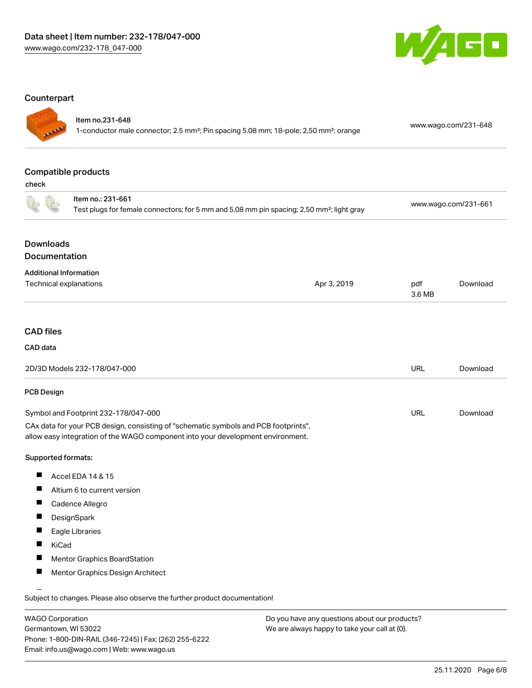

#### **Counterpart**

| I |
|---|
|   |

### Item no.231-648

1-conductor male connector; 2.5 mm²; Pin spacing 5.08 mm; 18-pole; 2,50 mm²; orange [www.wago.com/231-648](https://www.wago.com/231-648)

## Compatible products

check

|                                                         | Item no.: 231-661<br>Test plugs for female connectors; for 5 mm and 5.08 mm pin spacing; 2,50 mm <sup>2</sup> ; light gray                                             |             | www.wago.com/231-661 |          |
|---------------------------------------------------------|------------------------------------------------------------------------------------------------------------------------------------------------------------------------|-------------|----------------------|----------|
|                                                         |                                                                                                                                                                        |             |                      |          |
| <b>Downloads</b><br>Documentation                       |                                                                                                                                                                        |             |                      |          |
|                                                         |                                                                                                                                                                        |             |                      |          |
| <b>Additional Information</b><br>Technical explanations |                                                                                                                                                                        | Apr 3, 2019 | pdf                  | Download |
|                                                         |                                                                                                                                                                        |             | 3.6 MB               |          |
|                                                         |                                                                                                                                                                        |             |                      |          |
| <b>CAD files</b>                                        |                                                                                                                                                                        |             |                      |          |
| CAD data                                                |                                                                                                                                                                        |             |                      |          |
|                                                         | 2D/3D Models 232-178/047-000                                                                                                                                           |             | <b>URL</b>           | Download |
| PCB Design                                              |                                                                                                                                                                        |             |                      |          |
| Symbol and Footprint 232-178/047-000                    |                                                                                                                                                                        |             | <b>URL</b>           | Download |
|                                                         | CAx data for your PCB design, consisting of "schematic symbols and PCB footprints",<br>allow easy integration of the WAGO component into your development environment. |             |                      |          |
| Supported formats:                                      |                                                                                                                                                                        |             |                      |          |
| ш                                                       | Accel EDA 14 & 15                                                                                                                                                      |             |                      |          |
| ш<br>Altium 6 to current version                        |                                                                                                                                                                        |             |                      |          |
| Ш                                                       | Cadence Allegro                                                                                                                                                        |             |                      |          |
| ш                                                       | DesignSpark                                                                                                                                                            |             |                      |          |
| ш                                                       | Eagle Libraries                                                                                                                                                        |             |                      |          |
| Ш<br>KiCad                                              |                                                                                                                                                                        |             |                      |          |
| ш                                                       | Mentor Graphics BoardStation                                                                                                                                           |             |                      |          |
| ш                                                       | Mentor Graphics Design Architect                                                                                                                                       |             |                      |          |
|                                                         | Subject to changes. Please also observe the further product documentation!                                                                                             |             |                      |          |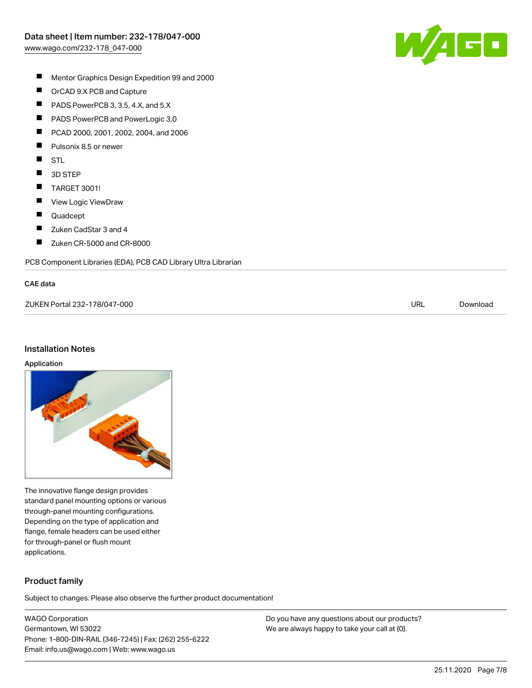

- $\blacksquare$ Mentor Graphics Design Expedition 99 and 2000
- $\blacksquare$ OrCAD 9.X PCB and Capture
- $\blacksquare$ PADS PowerPCB 3, 3.5, 4.X, and 5.X
- $\blacksquare$ PADS PowerPCB and PowerLogic 3.0
- $\blacksquare$ PCAD 2000, 2001, 2002, 2004, and 2006
- $\blacksquare$ Pulsonix 8.5 or newer
- $\blacksquare$ STL
- $\blacksquare$ 3D STEP
- $\blacksquare$ TARGET 3001!
- $\blacksquare$ View Logic ViewDraw
- $\blacksquare$ Quadcept
- $\blacksquare$ Zuken CadStar 3 and 4
- $\blacksquare$ Zuken CR-5000 and CR-8000

PCB Component Libraries (EDA), PCB CAD Library Ultra Librarian

#### CAE data

| ZUKEN Portal 232-178/047-000 | URL | Download |
|------------------------------|-----|----------|
|                              |     |          |

#### Installation Notes

#### Application



The innovative flange design provides standard panel mounting options or various through-panel mounting configurations. Depending on the type of application and flange, female headers can be used either for through-panel or flush mount applications.

## Product family

Subject to changes. Please also observe the further product documentation!

WAGO Corporation Germantown, WI 53022 Phone: 1-800-DIN-RAIL (346-7245) | Fax: (262) 255-6222 Email: info.us@wago.com | Web: www.wago.us